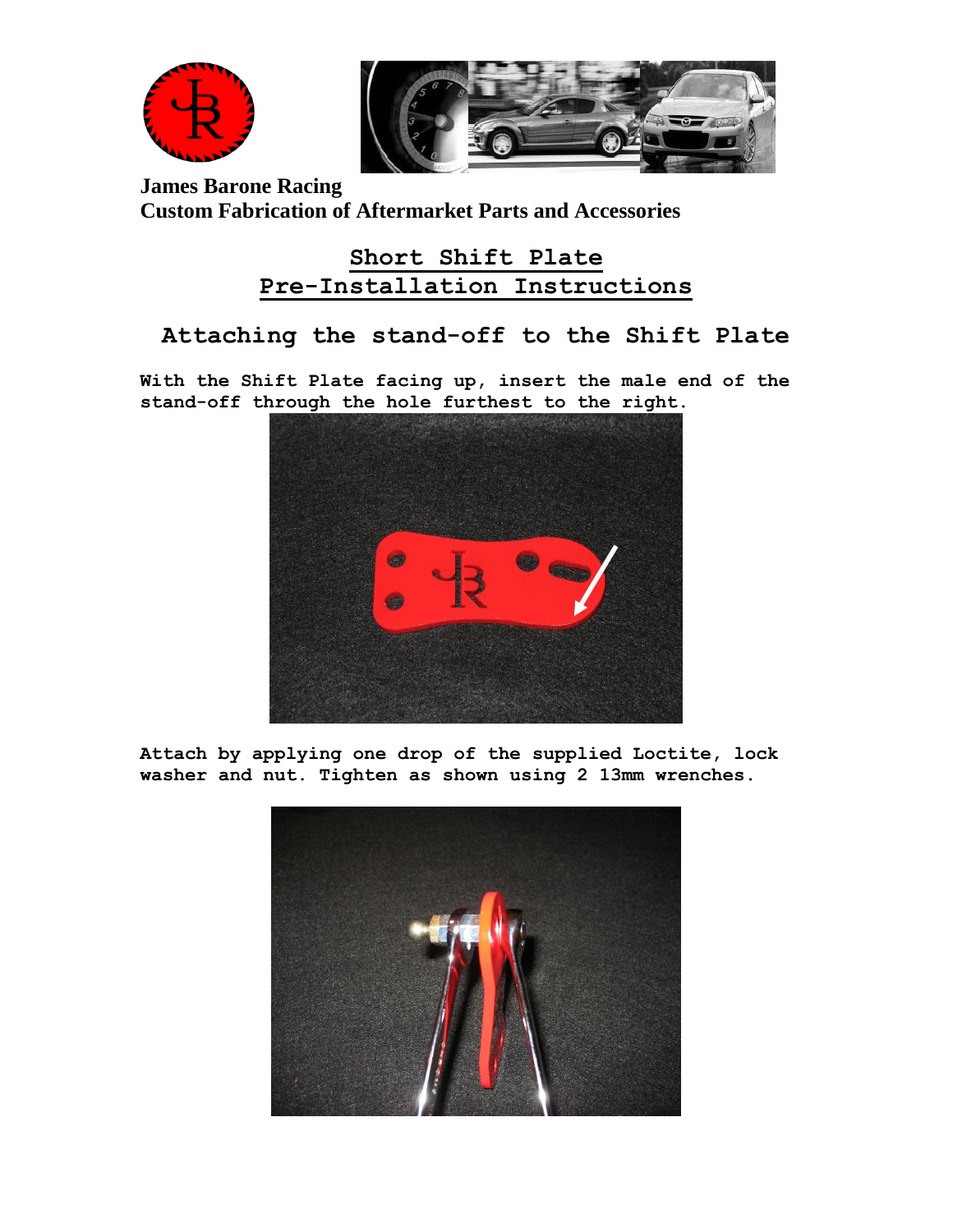

**James Barone Racing Custom Fabrication of Aftermarket Parts and Accessories**

### **Short Shift Plate Pre-Installation Instructions**

#### **Attaching the stand-off to the Shift Plate**

**With the Shift Plate facing up, insert the male end of the stand-off through the hole furthest to the right.** 



**Attach by applying one drop of the supplied Loctite, lock washer and nut. Tighten as shown using 2 13mm wrenches.**

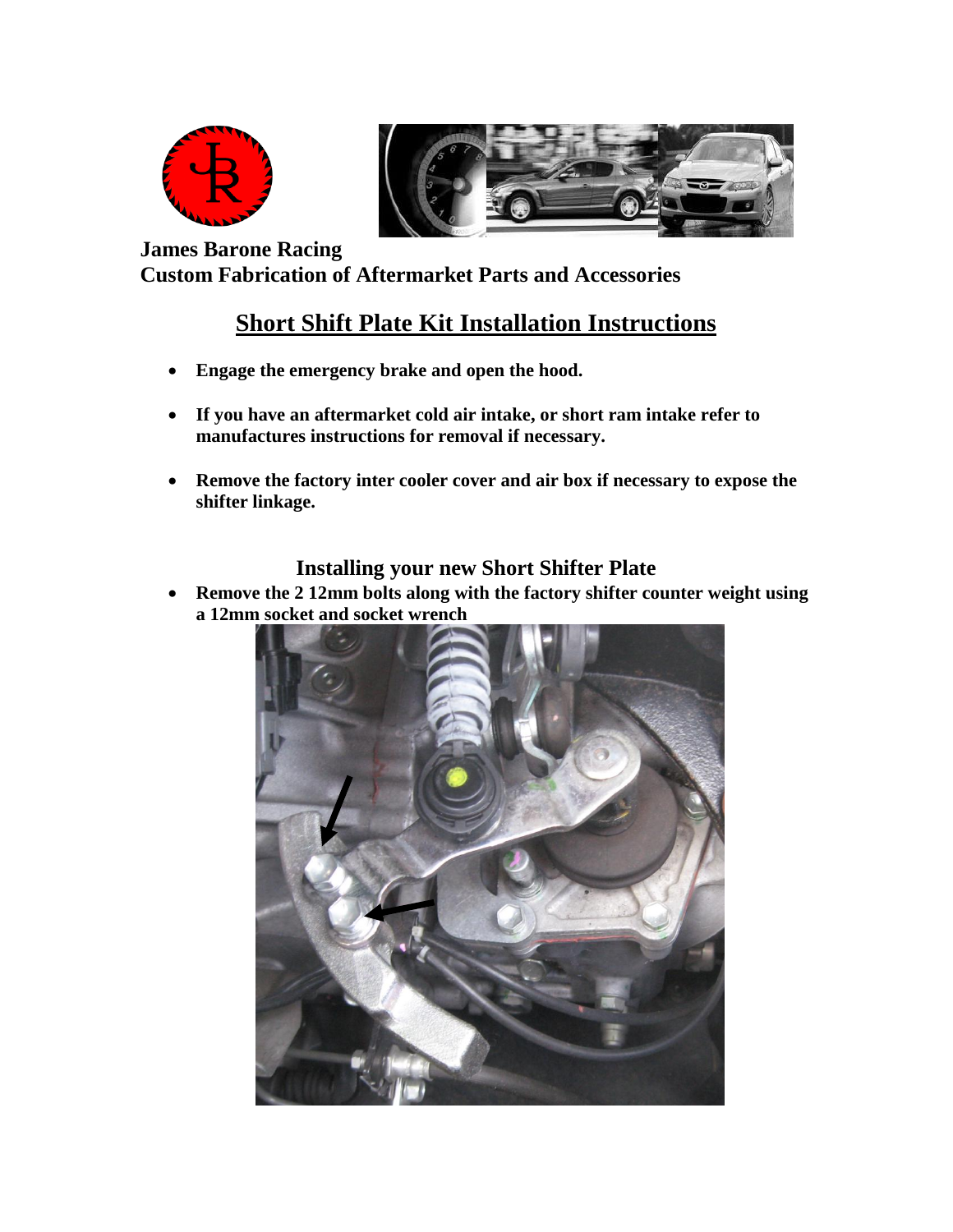



**James Barone Racing Custom Fabrication of Aftermarket Parts and Accessories**

## **Short Shift Plate Kit Installation Instructions**

- **Engage the emergency brake and open the hood.**
- **If you have an aftermarket cold air intake, or short ram intake refer to manufactures instructions for removal if necessary.**
- **Remove the factory inter cooler cover and air box if necessary to expose the shifter linkage.**

#### **Installing your new Short Shifter Plate**

 **Remove the 2 12mm bolts along with the factory shifter counter weight using a 12mm socket and socket wrench**

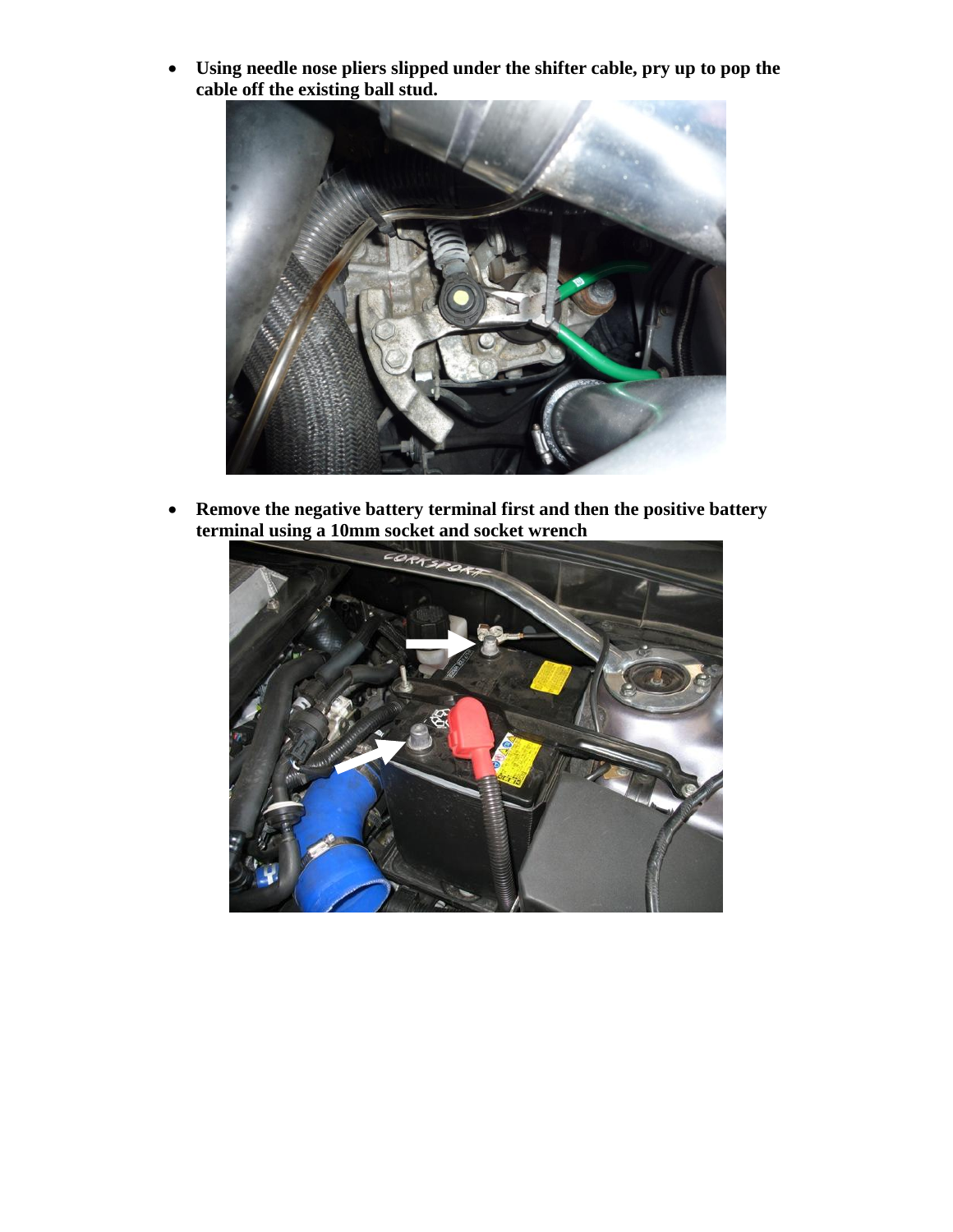**Using needle nose pliers slipped under the shifter cable, pry up to pop the cable off the existing ball stud.**



 **Remove the negative battery terminal first and then the positive battery terminal using a 10mm socket and socket wrench**

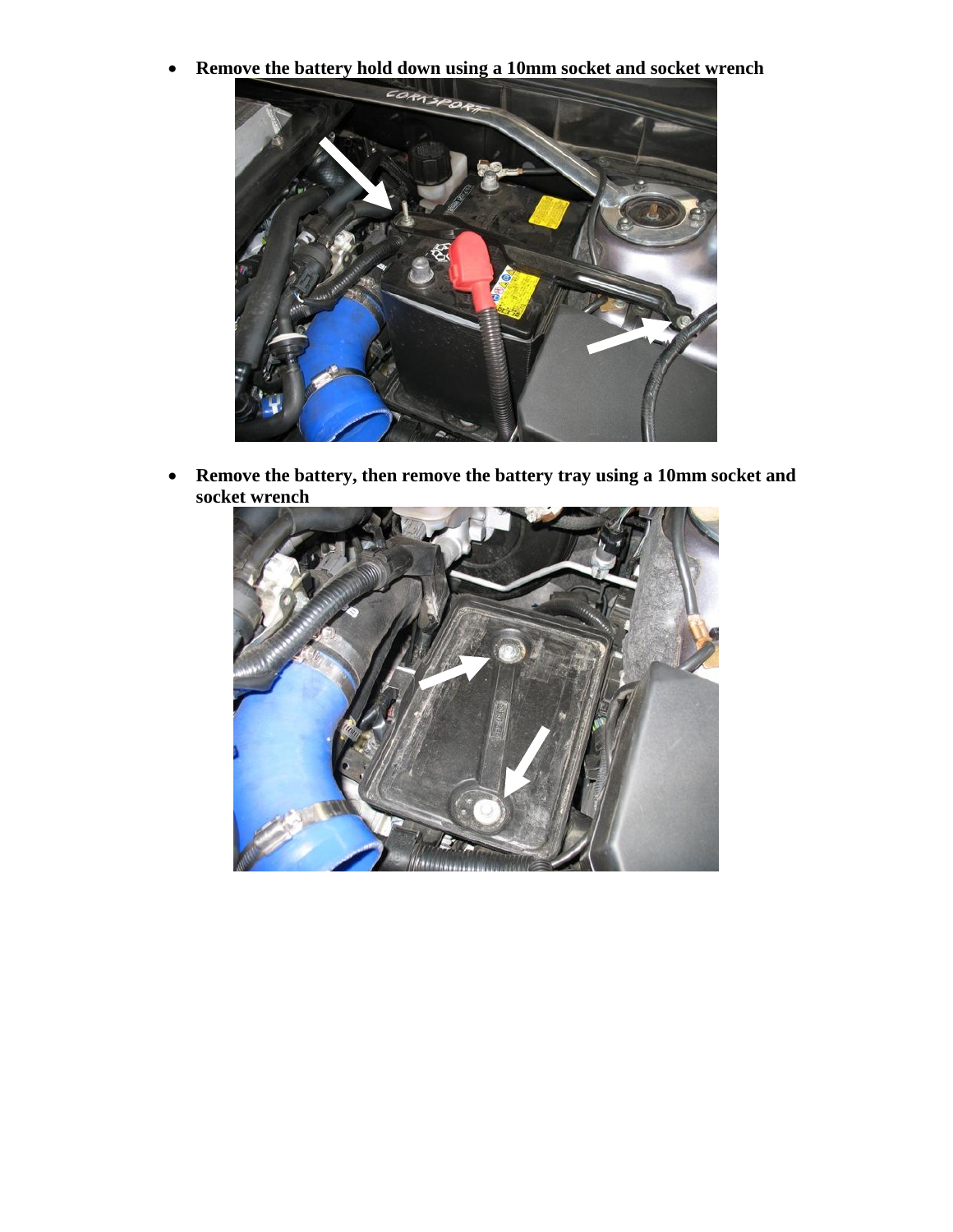

 **Remove the battery, then remove the battery tray using a 10mm socket and socket wrench**

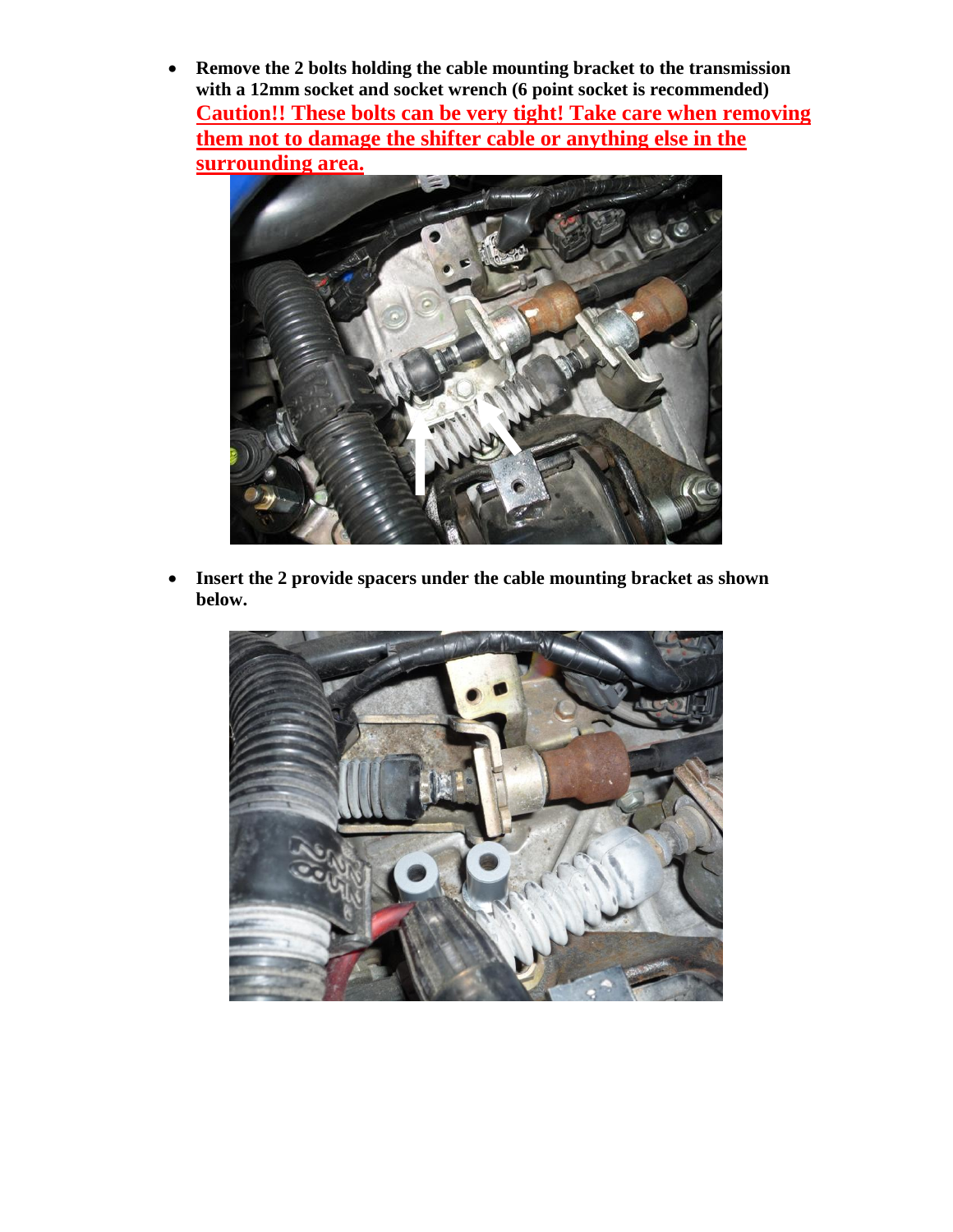**Remove the 2 bolts holding the cable mounting bracket to the transmission with a 12mm socket and socket wrench (6 point socket is recommended) Caution!! These bolts can be very tight! Take care when removing them not to damage the shifter cable or anything else in the surrounding area.**



 **Insert the 2 provide spacers under the cable mounting bracket as shown below.** 

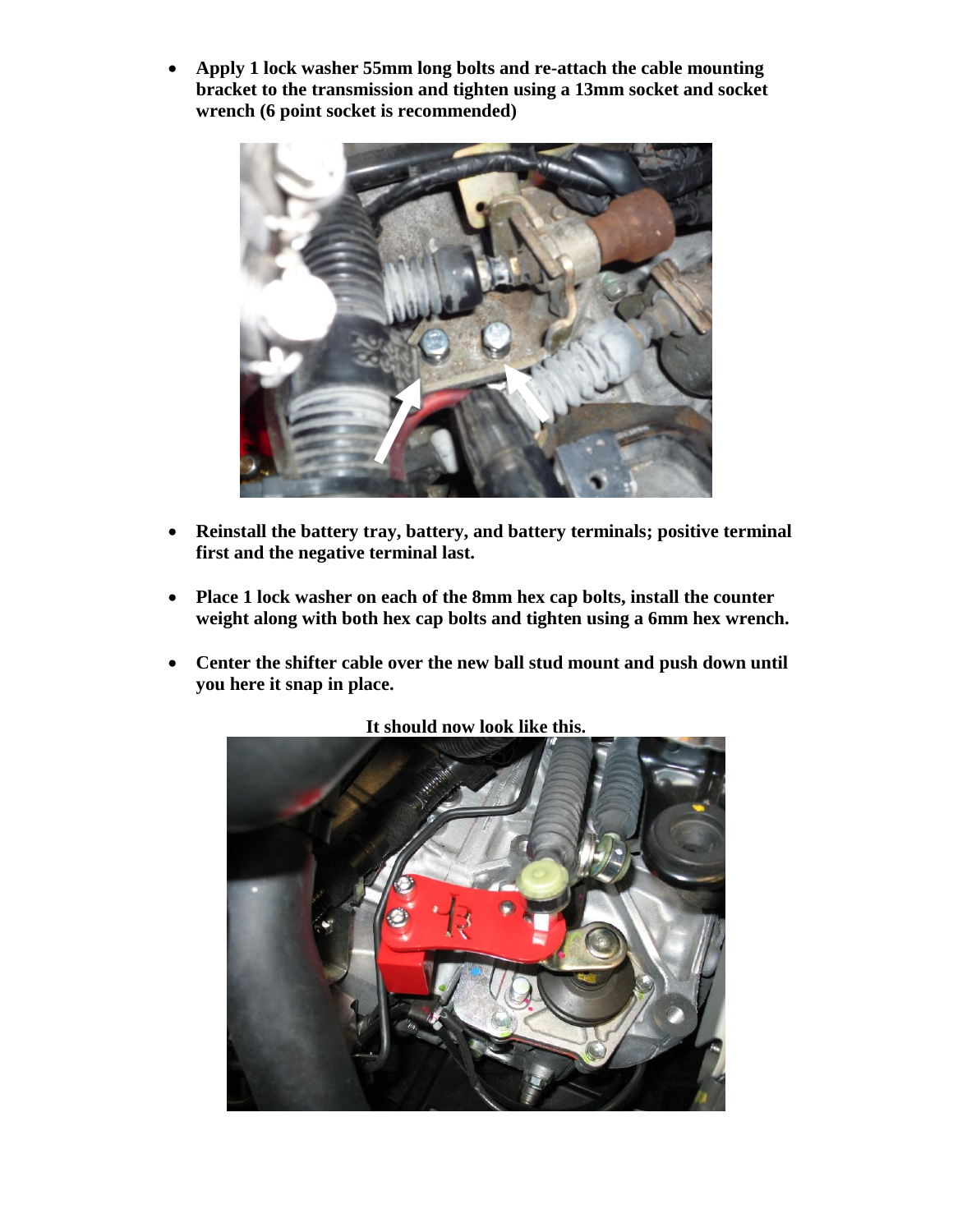**Apply 1 lock washer 55mm long bolts and re-attach the cable mounting bracket to the transmission and tighten using a 13mm socket and socket wrench (6 point socket is recommended)**



- **Reinstall the battery tray, battery, and battery terminals; positive terminal first and the negative terminal last.**
- **Place 1 lock washer on each of the 8mm hex cap bolts, install the counter weight along with both hex cap bolts and tighten using a 6mm hex wrench.**
- **Center the shifter cable over the new ball stud mount and push down until you here it snap in place.**



**It should now look like this.**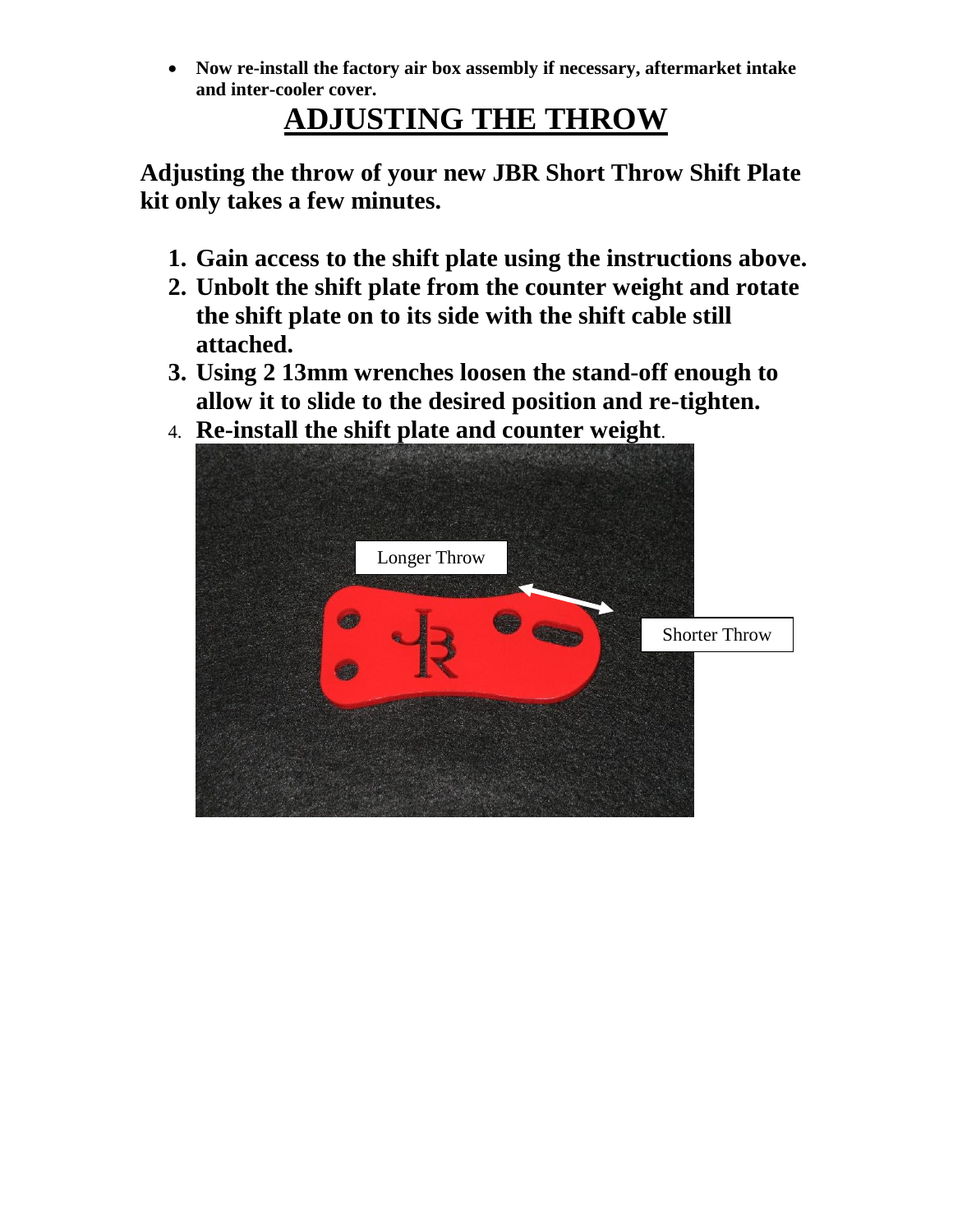**Now re-install the factory air box assembly if necessary, aftermarket intake and inter-cooler cover.**

# **ADJUSTING THE THROW**

**Adjusting the throw of your new JBR Short Throw Shift Plate kit only takes a few minutes.** 

- **1. Gain access to the shift plate using the instructions above.**
- **2. Unbolt the shift plate from the counter weight and rotate the shift plate on to its side with the shift cable still attached.**
- **3. Using 2 13mm wrenches loosen the stand-off enough to allow it to slide to the desired position and re-tighten.**
- 4. **Re-install the shift plate and counter weight**.